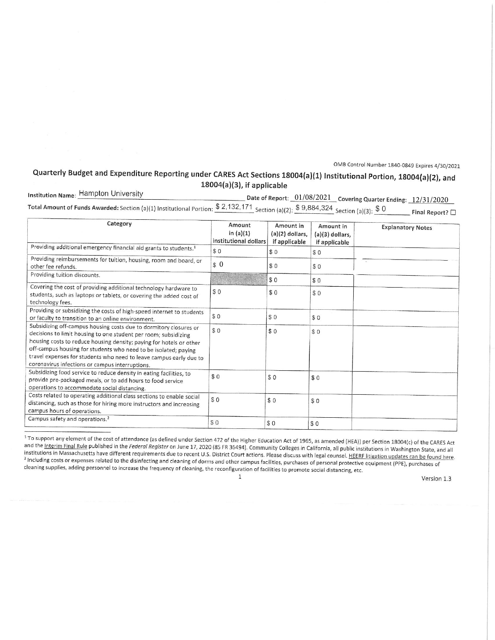OMB Control Number 1840-0849 Expires 4/30/2021

## Quarterly Budget and Expenditure Reporting under CARES Act Sections 18004(a)(1) Institutional Portion, 18004(a)(2), and 18004(a)(3), if applicable

**Institution Name: Hampton University**  $\_$  Date of Report:  $\_01/08/2021$   $\_$  Covering Quarter Ending:  $\_12/31/2020$ Total Amount of Funds Awarded: Section (a)(1) Institutional Portion: \$2,132,171 Section (a)(2): \$9,884,324 Section (a)(3): \$0  $\Box$  Final Report?  $\Box$ 

| Category                                                                                                                                                                                                                                                                                                                                                                                                | Amount<br>in $(a)(1)$<br>institutional dollars | Amount in<br>$(a)(2)$ dollars,<br>if applicable | Amount in<br>$(a)(3)$ dollars,<br>if applicable | <b>Explanatory Notes</b> |
|---------------------------------------------------------------------------------------------------------------------------------------------------------------------------------------------------------------------------------------------------------------------------------------------------------------------------------------------------------------------------------------------------------|------------------------------------------------|-------------------------------------------------|-------------------------------------------------|--------------------------|
| Providing additional emergency financial aid grants to students. <sup>1</sup>                                                                                                                                                                                                                                                                                                                           | \$0                                            | \$0                                             | \$0                                             |                          |
| Providing reimbursements for tuition, housing, room and board, or<br>other fee refunds.                                                                                                                                                                                                                                                                                                                 | \$0                                            | \$0                                             | \$0                                             |                          |
| Providing tuition discounts.                                                                                                                                                                                                                                                                                                                                                                            |                                                | \$0                                             | \$0                                             |                          |
| Covering the cost of providing additional technology hardware to<br>students, such as laptops or tablets, or covering the added cost of<br>technology fees.                                                                                                                                                                                                                                             | \$0                                            | \$0                                             | \$0                                             |                          |
| Providing or subsidizing the costs of high-speed internet to students<br>or faculty to transition to an online environment.                                                                                                                                                                                                                                                                             | \$0                                            | \$0                                             | \$0                                             |                          |
| Subsidizing off-campus housing costs due to dormitory closures or<br>decisions to limit housing to one student per room; subsidizing<br>housing costs to reduce housing density; paying for hotels or other<br>off-campus housing for students who need to be isolated; paying<br>travel expenses for students who need to leave campus early due to<br>coronavirus infections or campus interruptions. | \$0                                            | \$0                                             | \$0                                             |                          |
| Subsidizing food service to reduce density in eating facilities, to<br>provide pre-packaged meals, or to add hours to food service<br>operations to accommodate social distancing.                                                                                                                                                                                                                      | \$0                                            | \$0                                             | \$0                                             |                          |
| Costs related to operating additional class sections to enable social<br>distancing, such as those for hiring more instructors and increasing<br>campus hours of operations.                                                                                                                                                                                                                            | \$0                                            | \$0                                             | \$0                                             |                          |
| Campus safety and operations. <sup>2</sup>                                                                                                                                                                                                                                                                                                                                                              | \$0                                            | \$0                                             | \$0                                             |                          |

<sup>1</sup> To support any element of the cost of attendance (as defined under Section 472 of the Higher Education Act of 1965, as amended (HEA)) per Section 18004(c) of the CARES Act and the Interim Final Rule published in the Federal Register on June 17, 2020 (85 FR 36494). Community Colleges in California, all public institutions in Washington State, and all institutions in Massachusetts have different requirements due to recent U.S. District Court actions. Please discuss with legal counsel. HEERF litigation updates can be found here. and the contract of the contract of the disinfecting and cleaning of dorms and other campus facilities, purchases of personal protective equipment (PPE), purchases of cleaning supplies, adding personnel to increase the frequency of cleaning, the reconfiguration of facilities to promote social distancing, etc.

 $\mathbf 1$ 

Version 1.3